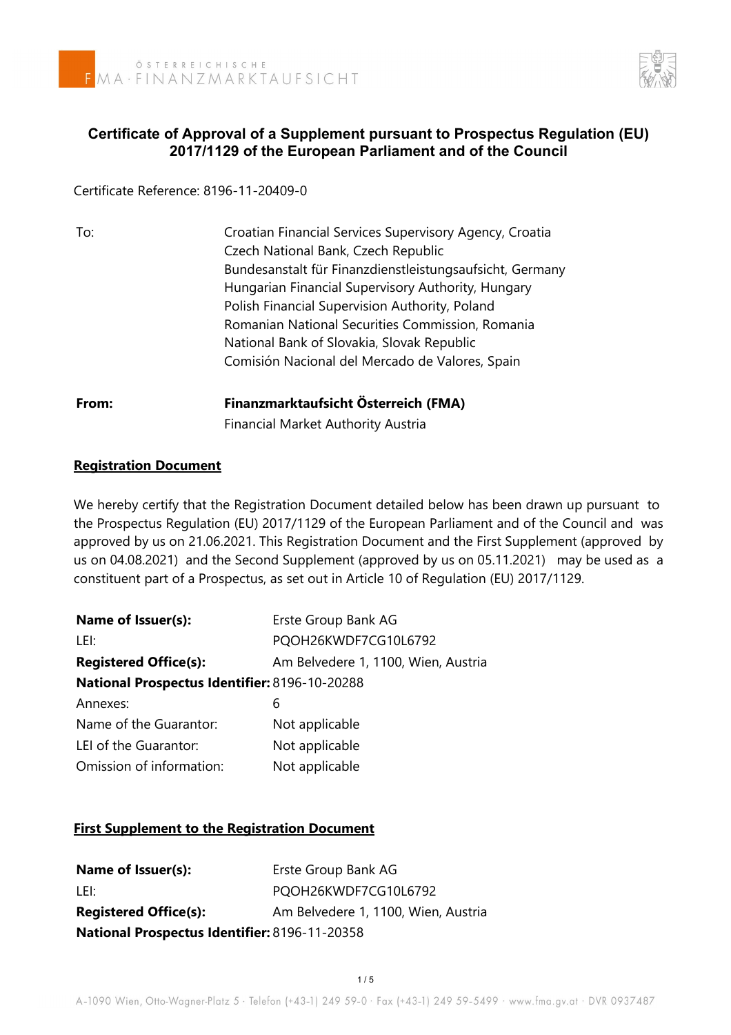

## **Certificate of Approval of a Supplement pursuant to Prospectus Regulation (EU) 2017/1129 of the European Parliament and of the Council**

Certificate Reference: 8196-11-20409-0

| To:   | Croatian Financial Services Supervisory Agency, Croatia  |
|-------|----------------------------------------------------------|
|       | Czech National Bank, Czech Republic                      |
|       | Bundesanstalt für Finanzdienstleistungsaufsicht, Germany |
|       | Hungarian Financial Supervisory Authority, Hungary       |
|       | Polish Financial Supervision Authority, Poland           |
|       | Romanian National Securities Commission, Romania         |
|       | National Bank of Slovakia, Slovak Republic               |
|       | Comisión Nacional del Mercado de Valores, Spain          |
| From: | Finanzmarktaufsicht Österreich (FMA)                     |
|       | <b>Financial Market Authority Austria</b>                |

## **Registration Document**

We hereby certify that the Registration Document detailed below has been drawn up pursuant to the Prospectus Regulation (EU) 2017/1129 of the European Parliament and of the Council and was approved by us on 21.06.2021. This Registration Document and the First Supplement (approved by us on 04.08.2021) and the Second Supplement (approved by us on 05.11.2021) may be used as a constituent part of a Prospectus, as set out in Article 10 of Regulation (EU) 2017/1129.

| Erste Group Bank AG                           |
|-----------------------------------------------|
| PQOH26KWDF7CG10L6792                          |
| Am Belvedere 1, 1100, Wien, Austria           |
| National Prospectus Identifier: 8196-10-20288 |
| 6                                             |
| Not applicable                                |
| Not applicable                                |
| Not applicable                                |
|                                               |

## **First Supplement to the Registration Document**

| Name of Issuer(s):                            | Erste Group Bank AG                 |
|-----------------------------------------------|-------------------------------------|
| LEI:                                          | PQOH26KWDF7CG10L6792                |
| <b>Registered Office(s):</b>                  | Am Belvedere 1, 1100, Wien, Austria |
| National Prospectus Identifier: 8196-11-20358 |                                     |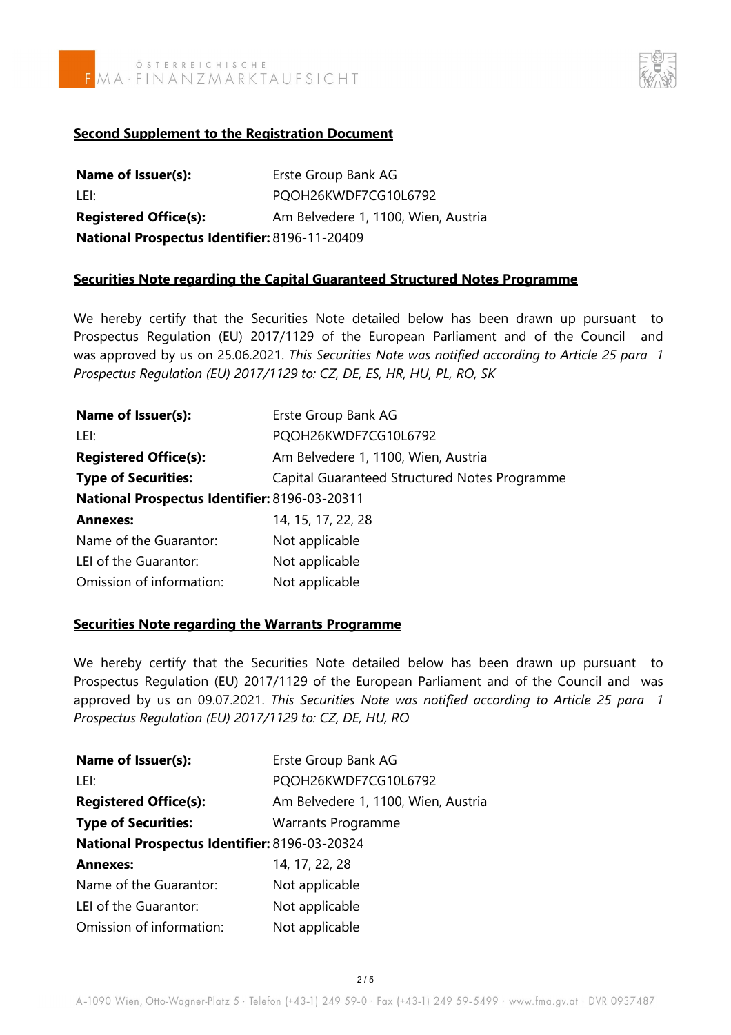



#### **Second Supplement to the Registration Document**

| Name of Issuer(s):                            | Erste Group Bank AG                 |
|-----------------------------------------------|-------------------------------------|
| LEI:                                          | PQOH26KWDF7CG10L6792                |
| <b>Registered Office(s):</b>                  | Am Belvedere 1, 1100, Wien, Austria |
| National Prospectus Identifier: 8196-11-20409 |                                     |

#### **Securities Note regarding the Capital Guaranteed Structured Notes Programme**

We hereby certify that the Securities Note detailed below has been drawn up pursuant to Prospectus Regulation (EU) 2017/1129 of the European Parliament and of the Council and was approved by us on 25.06.2021. *This Securities Note was notified according to Article 25 para 1 Prospectus Regulation (EU) 2017/1129 to: CZ, DE, ES, HR, HU, PL, RO, SK*

| Name of Issuer(s):                            | Erste Group Bank AG                           |  |
|-----------------------------------------------|-----------------------------------------------|--|
| LEI:                                          | PQOH26KWDF7CG10L6792                          |  |
| <b>Registered Office(s):</b>                  | Am Belvedere 1, 1100, Wien, Austria           |  |
| <b>Type of Securities:</b>                    | Capital Guaranteed Structured Notes Programme |  |
| National Prospectus Identifier: 8196-03-20311 |                                               |  |
| <b>Annexes:</b>                               | 14, 15, 17, 22, 28                            |  |
| Name of the Guarantor:                        | Not applicable                                |  |
| LEI of the Guarantor:                         | Not applicable                                |  |
| Omission of information:                      | Not applicable                                |  |

#### **Securities Note regarding the Warrants Programme**

We hereby certify that the Securities Note detailed below has been drawn up pursuant to Prospectus Regulation (EU) 2017/1129 of the European Parliament and of the Council and was approved by us on 09.07.2021. *This Securities Note was notified according to Article 25 para 1 Prospectus Regulation (EU) 2017/1129 to: CZ, DE, HU, RO* 

| Name of Issuer(s):                            | Erste Group Bank AG                 |
|-----------------------------------------------|-------------------------------------|
| LEI:                                          | PQOH26KWDF7CG10L6792                |
| <b>Registered Office(s):</b>                  | Am Belvedere 1, 1100, Wien, Austria |
| <b>Type of Securities:</b>                    | Warrants Programme                  |
| National Prospectus Identifier: 8196-03-20324 |                                     |
| <b>Annexes:</b>                               | 14, 17, 22, 28                      |
| Name of the Guarantor:                        | Not applicable                      |
| LEI of the Guarantor:                         | Not applicable                      |
| Omission of information:                      | Not applicable                      |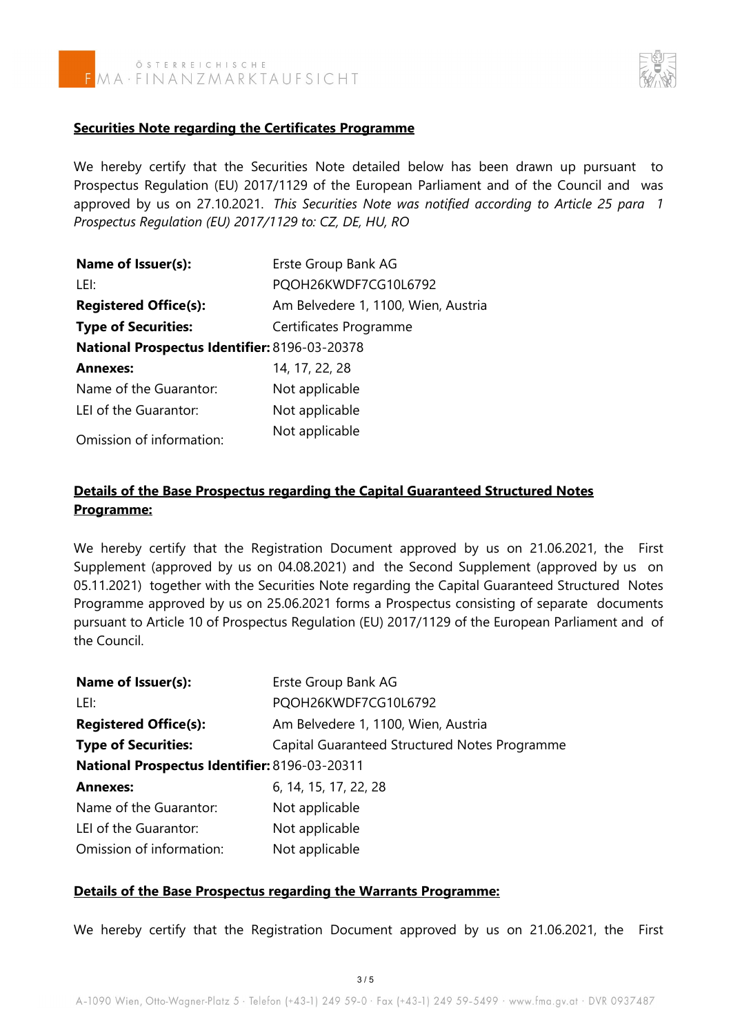



#### **Securities Note regarding the Certificates Programme**

We hereby certify that the Securities Note detailed below has been drawn up pursuant to Prospectus Regulation (EU) 2017/1129 of the European Parliament and of the Council and was approved by us on 27.10.2021. *This Securities Note was notified according to Article 25 para 1 Prospectus Regulation (EU) 2017/1129 to: CZ, DE, HU, RO* 

| Name of Issuer(s):                            | Erste Group Bank AG                 |
|-----------------------------------------------|-------------------------------------|
| LEI:                                          | PQOH26KWDF7CG10L6792                |
| <b>Registered Office(s):</b>                  | Am Belvedere 1, 1100, Wien, Austria |
| <b>Type of Securities:</b>                    | Certificates Programme              |
| National Prospectus Identifier: 8196-03-20378 |                                     |
| <b>Annexes:</b>                               | 14, 17, 22, 28                      |
| Name of the Guarantor:                        | Not applicable                      |
| LEI of the Guarantor:                         | Not applicable                      |
|                                               | Not applicable                      |

Omission of information:

## **Details of the Base Prospectus regarding the Capital Guaranteed Structured Notes Programme:**

We hereby certify that the Registration Document approved by us on 21.06.2021, the First Supplement (approved by us on 04.08.2021) and the Second Supplement (approved by us on 05.11.2021) together with the Securities Note regarding the Capital Guaranteed Structured Notes Programme approved by us on 25.06.2021 forms a Prospectus consisting of separate documents pursuant to Article 10 of Prospectus Regulation (EU) 2017/1129 of the European Parliament and of the Council.

| Name of Issuer(s):                            | Erste Group Bank AG                           |
|-----------------------------------------------|-----------------------------------------------|
| LEI:                                          | PQOH26KWDF7CG10L6792                          |
| <b>Registered Office(s):</b>                  | Am Belvedere 1, 1100, Wien, Austria           |
| <b>Type of Securities:</b>                    | Capital Guaranteed Structured Notes Programme |
| National Prospectus Identifier: 8196-03-20311 |                                               |
| <b>Annexes:</b>                               | 6, 14, 15, 17, 22, 28                         |
| Name of the Guarantor:                        | Not applicable                                |
| LEI of the Guarantor:                         | Not applicable                                |
| Omission of information:                      | Not applicable                                |

#### **Details of the Base Prospectus regarding the Warrants Programme:**

We hereby certify that the Registration Document approved by us on 21.06.2021, the First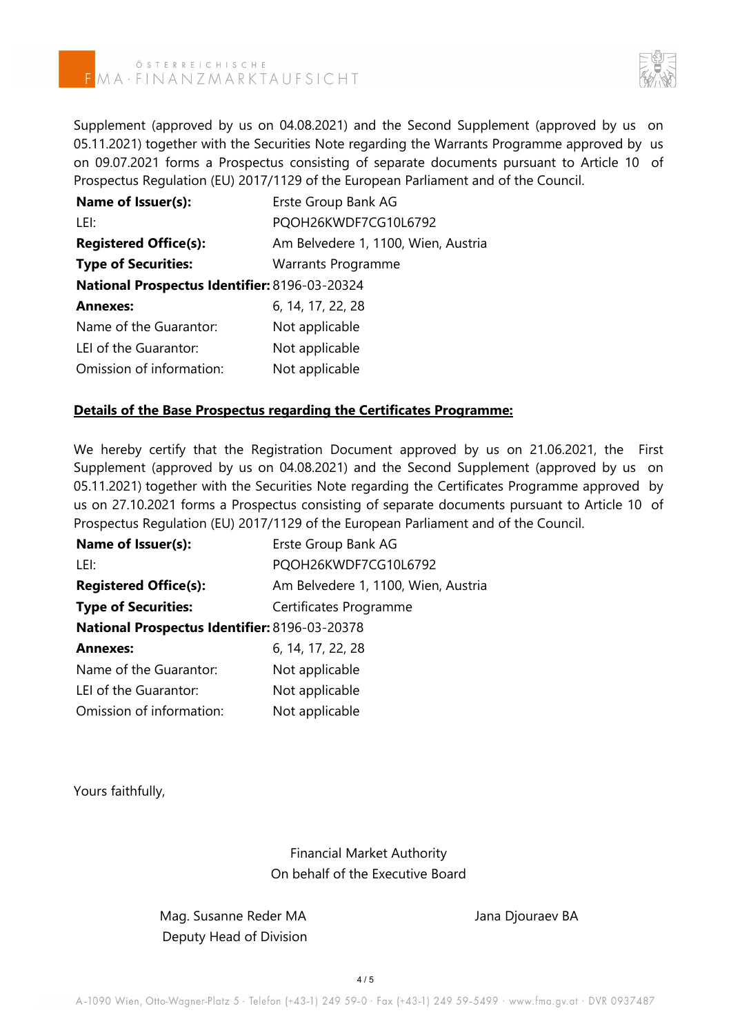# ÖSTERREICHISCHE<br>MA·FINANZMARKTAUFSICHT



Supplement (approved by us on 04.08.2021) and the Second Supplement (approved by us on 05.11.2021) together with the Securities Note regarding the Warrants Programme approved by us on 09.07.2021 forms a Prospectus consisting of separate documents pursuant to Article 10 of Prospectus Regulation (EU) 2017/1129 of the European Parliament and of the Council.

| Name of Issuer(s):                            | Erste Group Bank AG                 |
|-----------------------------------------------|-------------------------------------|
| LEI:                                          | PQOH26KWDF7CG10L6792                |
| <b>Registered Office(s):</b>                  | Am Belvedere 1, 1100, Wien, Austria |
| <b>Type of Securities:</b>                    | <b>Warrants Programme</b>           |
| National Prospectus Identifier: 8196-03-20324 |                                     |
| <b>Annexes:</b>                               | 6, 14, 17, 22, 28                   |
| Name of the Guarantor:                        | Not applicable                      |
| LEI of the Guarantor:                         | Not applicable                      |
| Omission of information:                      | Not applicable                      |

#### **Details of the Base Prospectus regarding the Certificates Programme:**

We hereby certify that the Registration Document approved by us on 21.06.2021, the First Supplement (approved by us on 04.08.2021) and the Second Supplement (approved by us on 05.11.2021) together with the Securities Note regarding the Certificates Programme approved by us on 27.10.2021 forms a Prospectus consisting of separate documents pursuant to Article 10 of Prospectus Regulation (EU) 2017/1129 of the European Parliament and of the Council.

| Name of Issuer(s):                            | Erste Group Bank AG                 |
|-----------------------------------------------|-------------------------------------|
| LEI:                                          | PQOH26KWDF7CG10L6792                |
| <b>Registered Office(s):</b>                  | Am Belvedere 1, 1100, Wien, Austria |
| <b>Type of Securities:</b>                    | Certificates Programme              |
| National Prospectus Identifier: 8196-03-20378 |                                     |
| <b>Annexes:</b>                               | 6, 14, 17, 22, 28                   |
| Name of the Guarantor:                        | Not applicable                      |
| LEI of the Guarantor:                         | Not applicable                      |
| Omission of information:                      | Not applicable                      |

Yours faithfully,

Financial Market Authority On behalf of the Executive Board

Mag. Susanne Reder MA Jana Djouraev BA Deputy Head of Division